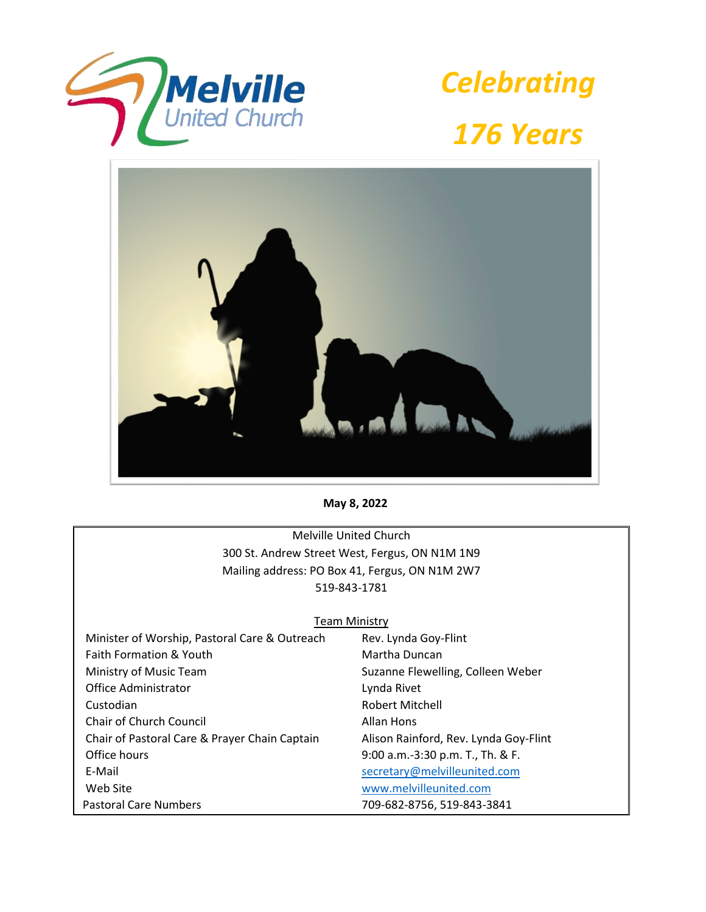

*Celebrating*

# *176 Years*



**May 8, 2022**

Melville United Church 300 St. Andrew Street West, Fergus, ON N1M 1N9 Mailing address: PO Box 41, Fergus, ON N1M 2W7 519-843-1781

#### Team Ministry

| Minister of Worship, Pastoral Care & Outreach | Rev. Lynda Goy-Flint                  |
|-----------------------------------------------|---------------------------------------|
| Faith Formation & Youth                       | Martha Duncan                         |
| Ministry of Music Team                        | Suzanne Flewelling, Colleen Weber     |
| Office Administrator                          | Lynda Rivet                           |
| Custodian                                     | Robert Mitchell                       |
| Chair of Church Council                       | Allan Hons                            |
| Chair of Pastoral Care & Prayer Chain Captain | Alison Rainford, Rev. Lynda Goy-Flint |
| Office hours                                  | 9:00 a.m.-3:30 p.m. T., Th. & F.      |
| E-Mail                                        | secretary@melvilleunited.com          |
| Web Site                                      | www.melvilleunited.com                |
| <b>Pastoral Care Numbers</b>                  | 709-682-8756, 519-843-3841            |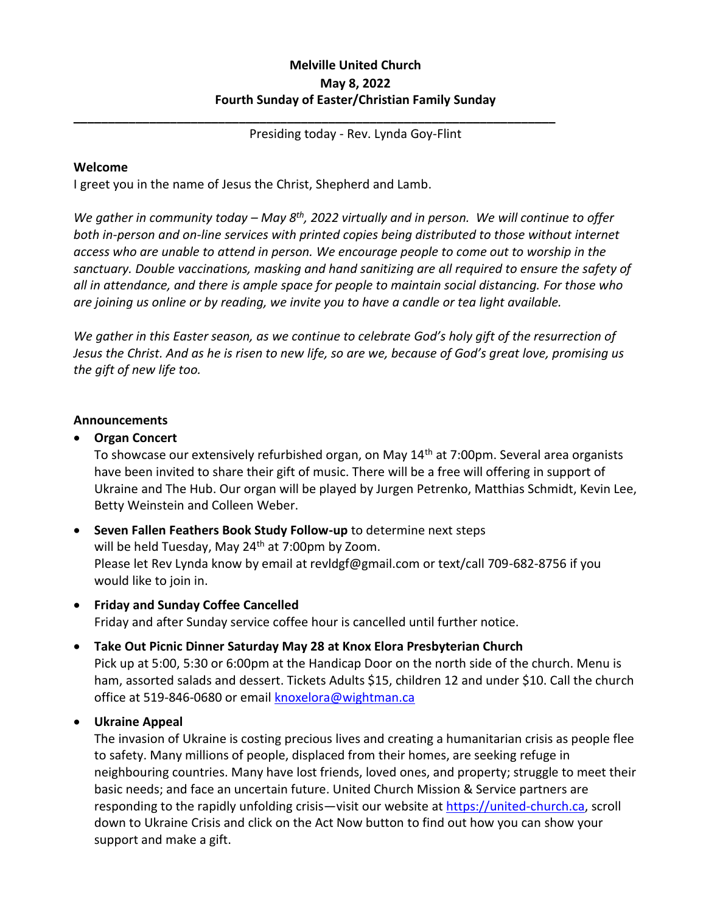# **Melville United Church May 8, 2022 Fourth Sunday of Easter/Christian Family Sunday**

Presiding today - Rev. Lynda Goy-Flint

**\_\_\_\_\_\_\_\_\_\_\_\_\_\_\_\_\_\_\_\_\_\_\_\_\_\_\_\_\_\_\_\_\_\_\_\_\_\_\_\_\_\_\_\_\_\_\_\_\_\_\_\_\_\_\_\_\_\_\_\_\_\_\_\_\_\_\_\_\_\_**

## **Welcome**

I greet you in the name of Jesus the Christ, Shepherd and Lamb.

*We gather in community today – May 8 th, 2022 virtually and in person. We will continue to offer both in-person and on-line services with printed copies being distributed to those without internet access who are unable to attend in person. We encourage people to come out to worship in the sanctuary. Double vaccinations, masking and hand sanitizing are all required to ensure the safety of all in attendance, and there is ample space for people to maintain social distancing. For those who are joining us online or by reading, we invite you to have a candle or tea light available.*

*We gather in this Easter season, as we continue to celebrate God's holy gift of the resurrection of Jesus the Christ. And as he is risen to new life, so are we, because of God's great love, promising us the gift of new life too.*

## **Announcements**

• **Organ Concert**

To showcase our extensively refurbished organ, on May 14<sup>th</sup> at 7:00pm. Several area organists have been invited to share their gift of music. There will be a free will offering in support of Ukraine and The Hub. Our organ will be played by Jurgen Petrenko, Matthias Schmidt, Kevin Lee, Betty Weinstein and Colleen Weber.

- **Seven Fallen Feathers Book Study Follow-up** to determine next steps will be held Tuesday, May  $24<sup>th</sup>$  at 7:00pm by Zoom. Please let Rev Lynda know by email at revldgf@gmail.com or text/call 709-682-8756 if you would like to join in.
- **Friday and Sunday Coffee Cancelled**  Friday and after Sunday service coffee hour is cancelled until further notice.
- **Take Out Picnic Dinner Saturday May 28 at Knox Elora Presbyterian Church** Pick up at 5:00, 5:30 or 6:00pm at the Handicap Door on the north side of the church. Menu is ham, assorted salads and dessert. Tickets Adults \$15, children 12 and under \$10. Call the church office at 519-846-0680 or email [knoxelora@wightman.ca](mailto:knoxelora@wightman.ca)

# • **Ukraine Appeal**

The invasion of Ukraine is costing precious lives and creating a humanitarian crisis as people flee to safety. Many millions of people, displaced from their homes, are seeking refuge in neighbouring countries. Many have lost friends, loved ones, and property; struggle to meet their basic needs; and face an uncertain future. United Church Mission & Service partners are responding to the rapidly unfolding crisis—visit our website at [https://united-church.ca,](https://united-church.ca/) scroll down to Ukraine Crisis and click on the Act Now button to find out how you can show your support and make a gift.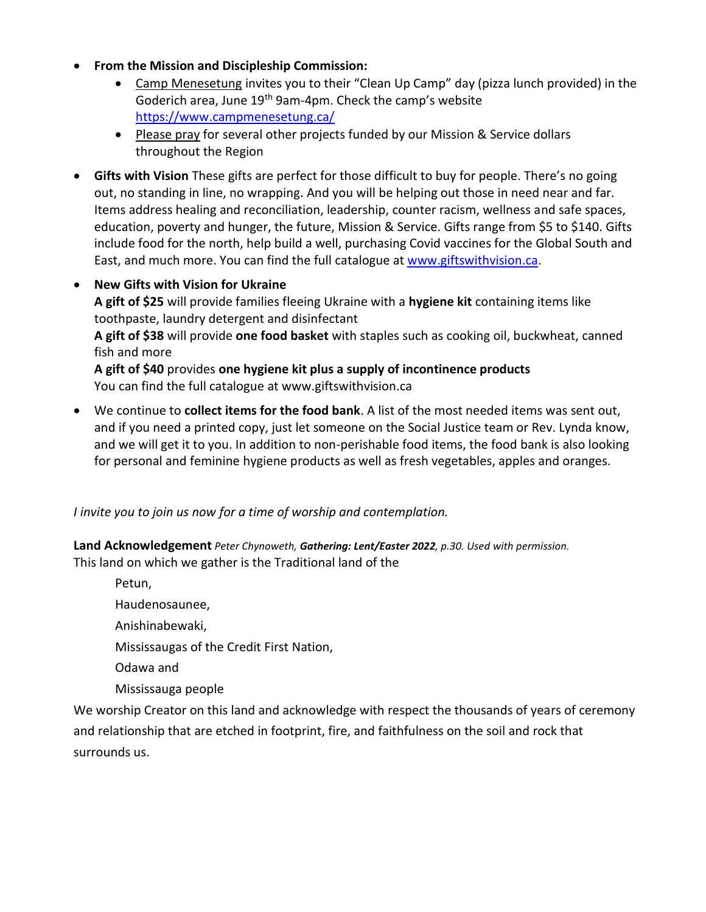- **From the Mission and Discipleship Commission:**
	- Camp Menesetung invites you to their "Clean Up Camp" day (pizza lunch provided) in the Goderich area, June 19th 9am-4pm. Check the camp's website <https://www.campmenesetung.ca/>
	- Please pray for several other projects funded by our Mission & Service dollars throughout the Region
- **Gifts with Vision** These gifts are perfect for those difficult to buy for people. There's no going out, no standing in line, no wrapping. And you will be helping out those in need near and far. Items address healing and reconciliation, leadership, counter racism, wellness and safe spaces, education, poverty and hunger, the future, Mission & Service. Gifts range from \$5 to \$140. Gifts include food for the north, help build a well, purchasing Covid vaccines for the Global South and East, and much more. You can find the full catalogue at [www.giftswithvision.ca.](http://www.giftswithvision.ca/)
- **New Gifts with Vision for Ukraine A gift of \$25** will provide families fleeing Ukraine with a **hygiene kit** containing items like toothpaste, laundry detergent and disinfectant **A gift of \$38** will provide **one food basket** with staples such as cooking oil, buckwheat, canned fish and more **A gift of \$40** provides **one hygiene kit plus a supply of incontinence products** You can find the full catalogue at www.giftswithvision.ca
- We continue to **collect items for the food bank**. A list of the most needed items was sent out, and if you need a printed copy, just let someone on the Social Justice team or Rev. Lynda know, and we will get it to you. In addition to non-perishable food items, the food bank is also looking for personal and feminine hygiene products as well as fresh vegetables, apples and oranges.

*I invite you to join us now for a time of worship and contemplation.*

**Land Acknowledgement** *Peter Chynoweth, Gathering: Lent/Easter 2022, p.30. Used with permission.* This land on which we gather is the Traditional land of the

Petun,

Haudenosaunee,

Anishinabewaki,

Mississaugas of the Credit First Nation,

Odawa and

Mississauga people

We worship Creator on this land and acknowledge with respect the thousands of years of ceremony and relationship that are etched in footprint, fire, and faithfulness on the soil and rock that surrounds us.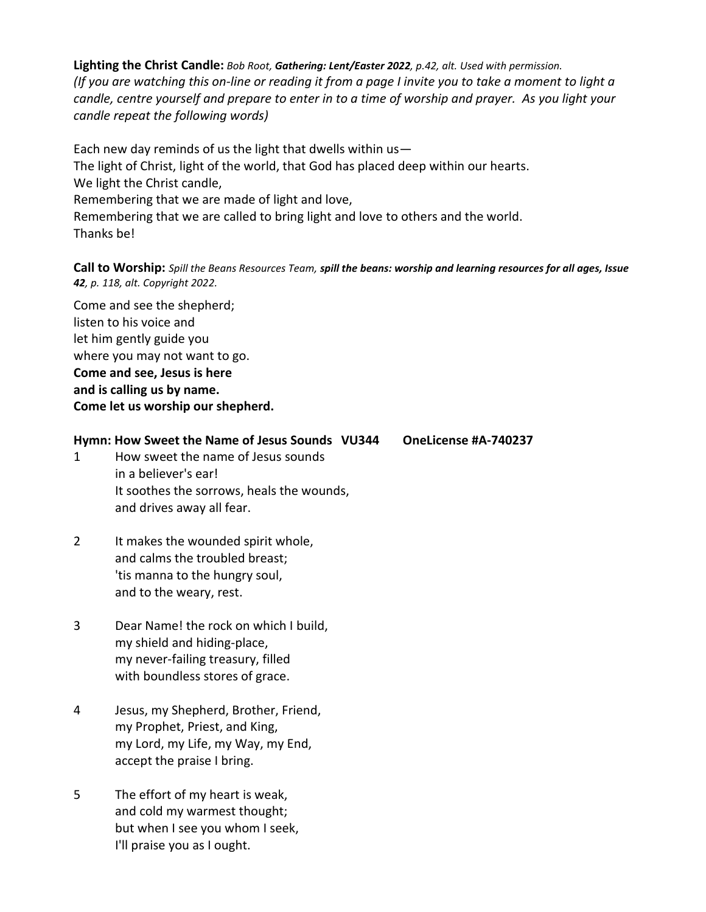**Lighting the Christ Candle:** *Bob Root, Gathering: Lent/Easter 2022, p.42, alt. Used with permission. (If you are watching this on-line or reading it from a page I invite you to take a moment to light a candle, centre yourself and prepare to enter in to a time of worship and prayer. As you light your candle repeat the following words)*

Each new day reminds of us the light that dwells within us— The light of Christ, light of the world, that God has placed deep within our hearts. We light the Christ candle, Remembering that we are made of light and love, Remembering that we are called to bring light and love to others and the world. Thanks be!

## **Call to Worship:** *Spill the Beans Resources Team, spill the beans: worship and learning resources for all ages, Issue 42, p. 118, alt. Copyright 2022.*

Come and see the shepherd; listen to his voice and let him gently guide you where you may not want to go. **Come and see, Jesus is here and is calling us by name. Come let us worship our shepherd.**

## **Hymn: How Sweet the Name of Jesus Sounds VU344 OneLicense #A-740237**

- 1 How sweet the name of Jesus sounds in a believer's ear! It soothes the sorrows, heals the wounds, and drives away all fear.
- 2 It makes the wounded spirit whole, and calms the troubled breast; 'tis manna to the hungry soul, and to the weary, rest.
- 3 Dear Name! the rock on which I build, my shield and hiding-place, my never-failing treasury, filled with boundless stores of grace.
- 4 Jesus, my Shepherd, Brother, Friend, my Prophet, Priest, and King, my Lord, my Life, my Way, my End, accept the praise I bring.
- 5 The effort of my heart is weak, and cold my warmest thought; but when I see you whom I seek, I'll praise you as I ought.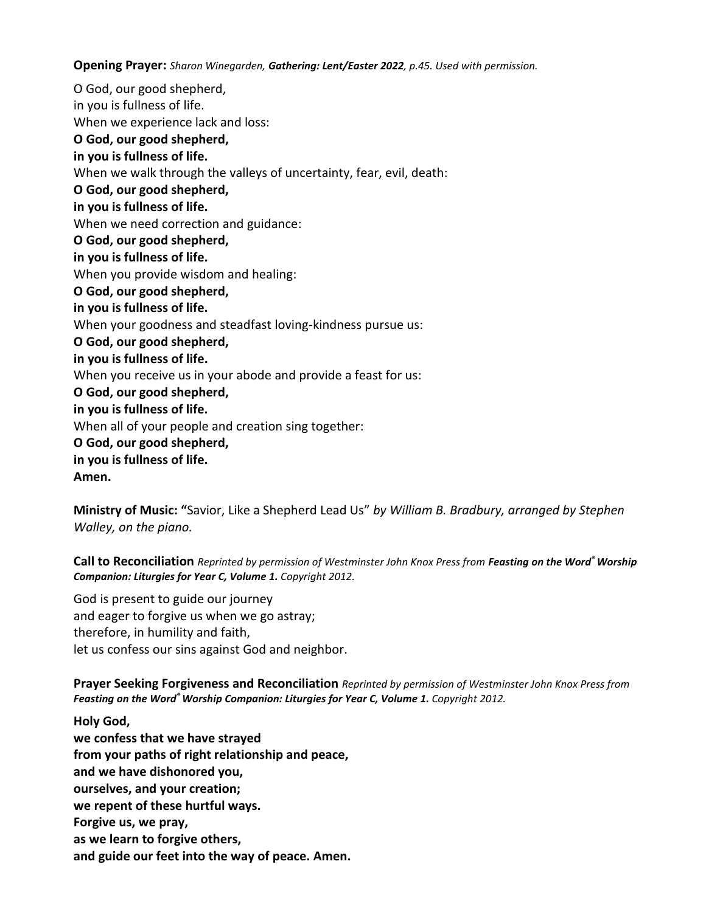**Opening Prayer:** *Sharon Winegarden, Gathering: Lent/Easter 2022, p.45. Used with permission.*

O God, our good shepherd, in you is fullness of life. When we experience lack and loss: **O God, our good shepherd, in you is fullness of life.** When we walk through the valleys of uncertainty, fear, evil, death: **O God, our good shepherd, in you is fullness of life.** When we need correction and guidance: **O God, our good shepherd, in you is fullness of life.** When you provide wisdom and healing: **O God, our good shepherd, in you is fullness of life.** When your goodness and steadfast loving-kindness pursue us: **O God, our good shepherd, in you is fullness of life.** When you receive us in your abode and provide a feast for us: **O God, our good shepherd, in you is fullness of life.** When all of your people and creation sing together: **O God, our good shepherd, in you is fullness of life. Amen.**

**Ministry of Music: "**Savior, Like a Shepherd Lead Us" *by William B. Bradbury, arranged by Stephen Walley, on the piano.*

**Call to Reconciliation** *Reprinted by permission of Westminster John Knox Press from Feasting on the Word® Worship Companion: Liturgies for Year C, Volume 1. Copyright 2012.*

God is present to guide our journey and eager to forgive us when we go astray; therefore, in humility and faith, let us confess our sins against God and neighbor.

**Prayer Seeking Forgiveness and Reconciliation** *Reprinted by permission of Westminster John Knox Press from Feasting on the Word® Worship Companion: Liturgies for Year C, Volume 1. Copyright 2012.*

**Holy God, we confess that we have strayed from your paths of right relationship and peace, and we have dishonored you, ourselves, and your creation; we repent of these hurtful ways. Forgive us, we pray, as we learn to forgive others, and guide our feet into the way of peace. Amen.**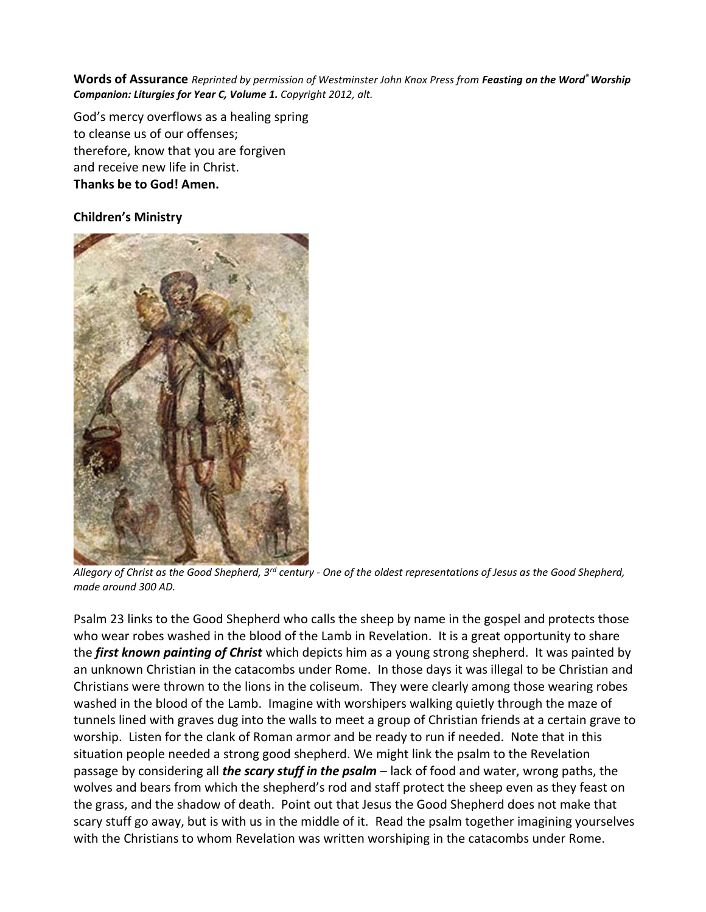**Words of Assurance** *Reprinted by permission of Westminster John Knox Press from Feasting on the Word® Worship Companion: Liturgies for Year C, Volume 1. Copyright 2012, alt.*

God's mercy overflows as a healing spring to cleanse us of our offenses; therefore, know that you are forgiven and receive new life in Christ. **Thanks be to God! Amen.**

#### **Children's Ministry**



*Allegory of Christ as the Good Shepherd, 3rd century - One of the oldest representations of Jesus as the Good Shepherd, made around 300 AD.*

Psalm 23 links to the Good Shepherd who calls the sheep by name in the gospel and protects those who wear robes washed in the blood of the Lamb in Revelation. It is a great opportunity to share the *first known painting of Christ* which depicts him as a young strong shepherd. It was painted by an unknown Christian in the catacombs under Rome. In those days it was illegal to be Christian and Christians were thrown to the lions in the coliseum. They were clearly among those wearing robes washed in the blood of the Lamb. Imagine with worshipers walking quietly through the maze of tunnels lined with graves dug into the walls to meet a group of Christian friends at a certain grave to worship. Listen for the clank of Roman armor and be ready to run if needed. Note that in this situation people needed a strong good shepherd. We might link the psalm to the Revelation passage by considering all *the scary stuff in the psalm* – lack of food and water, wrong paths, the wolves and bears from which the shepherd's rod and staff protect the sheep even as they feast on the grass, and the shadow of death. Point out that Jesus the Good Shepherd does not make that scary stuff go away, but is with us in the middle of it. Read the psalm together imagining yourselves with the Christians to whom Revelation was written worshiping in the catacombs under Rome.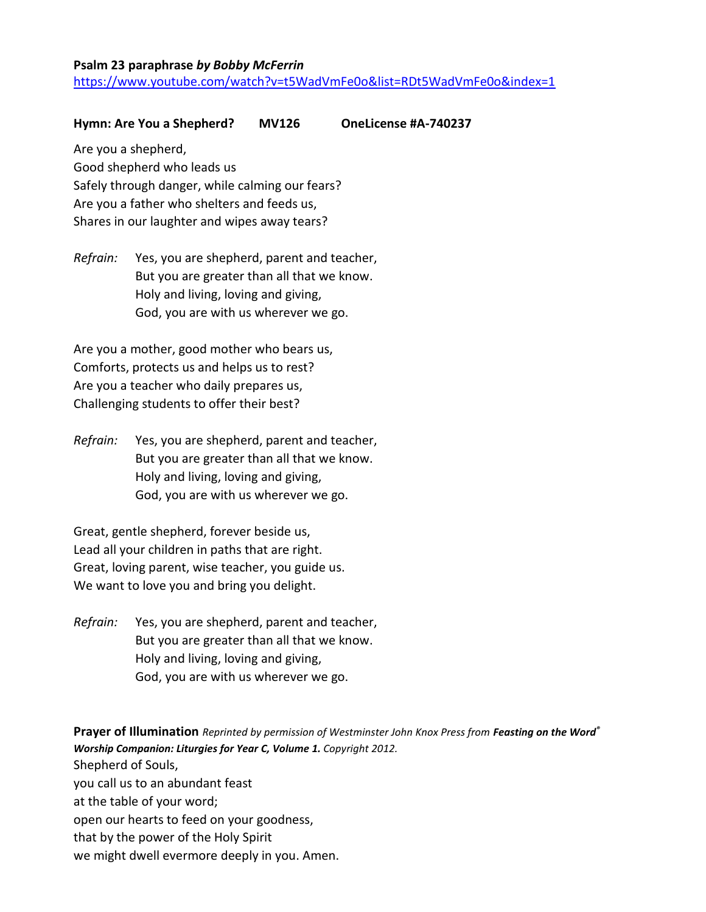# **Psalm 23 paraphrase** *by Bobby McFerrin* <https://www.youtube.com/watch?v=t5WadVmFe0o&list=RDt5WadVmFe0o&index=1>

#### **Hymn: Are You a Shepherd? MV126 OneLicense #A-740237**

Are you a shepherd, Good shepherd who leads us Safely through danger, while calming our fears? Are you a father who shelters and feeds us, Shares in our laughter and wipes away tears?

*Refrain:* Yes, you are shepherd, parent and teacher, But you are greater than all that we know. Holy and living, loving and giving, God, you are with us wherever we go.

Are you a mother, good mother who bears us, Comforts, protects us and helps us to rest? Are you a teacher who daily prepares us, Challenging students to offer their best?

*Refrain:* Yes, you are shepherd, parent and teacher, But you are greater than all that we know. Holy and living, loving and giving, God, you are with us wherever we go.

Great, gentle shepherd, forever beside us, Lead all your children in paths that are right. Great, loving parent, wise teacher, you guide us. We want to love you and bring you delight.

*Refrain:* Yes, you are shepherd, parent and teacher, But you are greater than all that we know. Holy and living, loving and giving, God, you are with us wherever we go.

**Prayer of Illumination** *Reprinted by permission of Westminster John Knox Press from Feasting on the Word® Worship Companion: Liturgies for Year C, Volume 1. Copyright 2012.* Shepherd of Souls, you call us to an abundant feast at the table of your word; open our hearts to feed on your goodness, that by the power of the Holy Spirit we might dwell evermore deeply in you. Amen.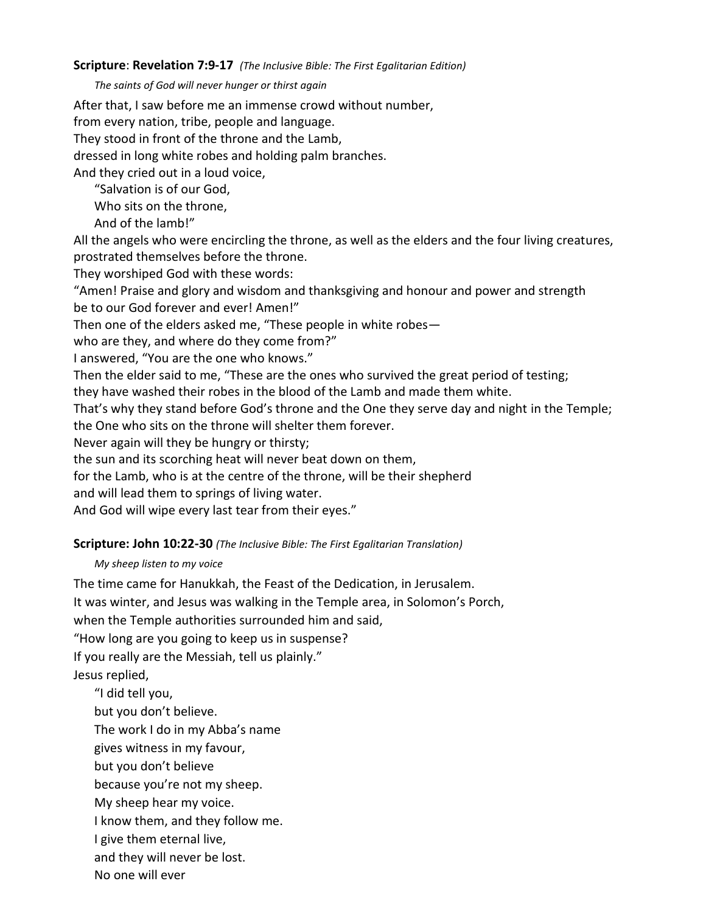#### **Scripture**: **Revelation 7:9-17** *(The Inclusive Bible: The First Egalitarian Edition)*

*The saints of God will never hunger or thirst again*

After that, I saw before me an immense crowd without number, from every nation, tribe, people and language. They stood in front of the throne and the Lamb, dressed in long white robes and holding palm branches. And they cried out in a loud voice, "Salvation is of our God,

Who sits on the throne,

And of the lamb!"

All the angels who were encircling the throne, as well as the elders and the four living creatures, prostrated themselves before the throne.

They worshiped God with these words:

"Amen! Praise and glory and wisdom and thanksgiving and honour and power and strength be to our God forever and ever! Amen!"

Then one of the elders asked me, "These people in white robes—

who are they, and where do they come from?"

I answered, "You are the one who knows."

Then the elder said to me, "These are the ones who survived the great period of testing;

they have washed their robes in the blood of the Lamb and made them white.

That's why they stand before God's throne and the One they serve day and night in the Temple; the One who sits on the throne will shelter them forever.

Never again will they be hungry or thirsty;

the sun and its scorching heat will never beat down on them,

for the Lamb, who is at the centre of the throne, will be their shepherd

and will lead them to springs of living water.

And God will wipe every last tear from their eyes."

## **Scripture: John 10:22-30** *(The Inclusive Bible: The First Egalitarian Translation)*

## *My sheep listen to my voice*

The time came for Hanukkah, the Feast of the Dedication, in Jerusalem. It was winter, and Jesus was walking in the Temple area, in Solomon's Porch, when the Temple authorities surrounded him and said, "How long are you going to keep us in suspense?

If you really are the Messiah, tell us plainly." Jesus replied,

"I did tell you,

but you don't believe.

The work I do in my Abba's name

gives witness in my favour,

but you don't believe

because you're not my sheep.

My sheep hear my voice.

I know them, and they follow me.

I give them eternal live,

and they will never be lost.

No one will ever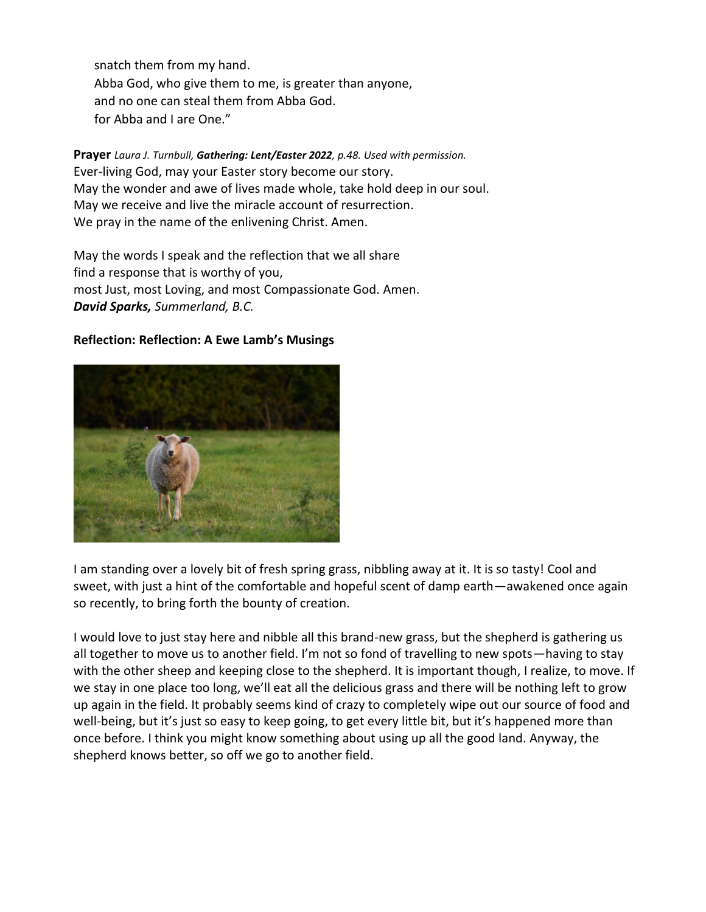snatch them from my hand. Abba God, who give them to me, is greater than anyone, and no one can steal them from Abba God. for Abba and I are One."

**Prayer** *Laura J. Turnbull, Gathering: Lent/Easter 2022, p.48. Used with permission.* Ever-living God, may your Easter story become our story. May the wonder and awe of lives made whole, take hold deep in our soul. May we receive and live the miracle account of resurrection. We pray in the name of the enlivening Christ. Amen.

May the words I speak and the reflection that we all share find a response that is worthy of you, most Just, most Loving, and most Compassionate God. Amen. *David Sparks, Summerland, B.C.*

## **Reflection: Reflection: A Ewe Lamb's Musings**



I am standing over a lovely bit of fresh spring grass, nibbling away at it. It is so tasty! Cool and sweet, with just a hint of the comfortable and hopeful scent of damp earth—awakened once again so recently, to bring forth the bounty of creation.

I would love to just stay here and nibble all this brand-new grass, but the shepherd is gathering us all together to move us to another field. I'm not so fond of travelling to new spots—having to stay with the other sheep and keeping close to the shepherd. It is important though, I realize, to move. If we stay in one place too long, we'll eat all the delicious grass and there will be nothing left to grow up again in the field. It probably seems kind of crazy to completely wipe out our source of food and well-being, but it's just so easy to keep going, to get every little bit, but it's happened more than once before. I think you might know something about using up all the good land. Anyway, the shepherd knows better, so off we go to another field.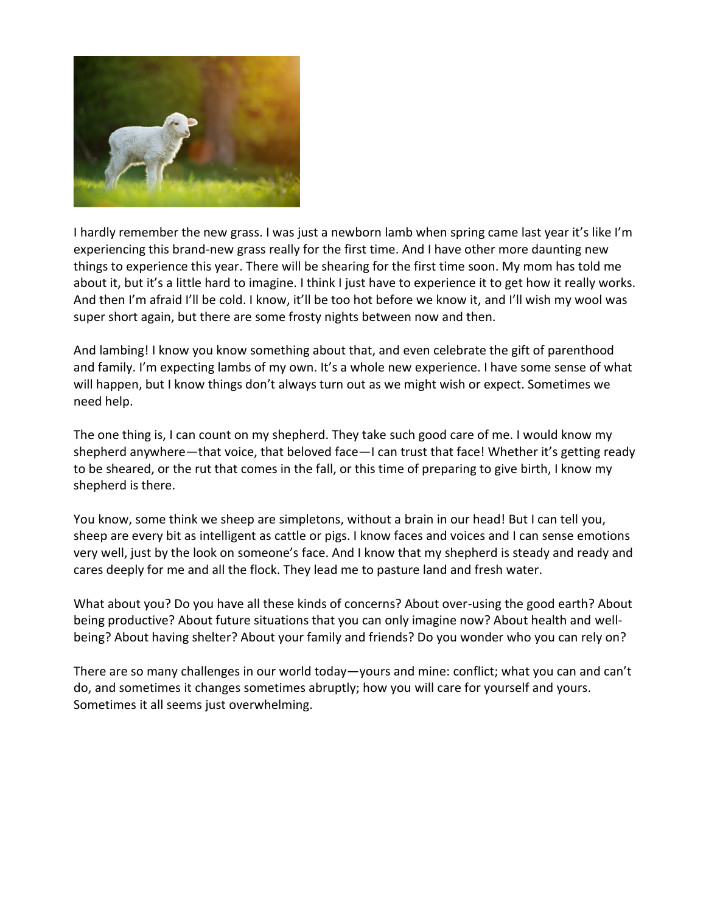

I hardly remember the new grass. I was just a newborn lamb when spring came last year it's like I'm experiencing this brand-new grass really for the first time. And I have other more daunting new things to experience this year. There will be shearing for the first time soon. My mom has told me about it, but it's a little hard to imagine. I think I just have to experience it to get how it really works. And then I'm afraid I'll be cold. I know, it'll be too hot before we know it, and I'll wish my wool was super short again, but there are some frosty nights between now and then.

And lambing! I know you know something about that, and even celebrate the gift of parenthood and family. I'm expecting lambs of my own. It's a whole new experience. I have some sense of what will happen, but I know things don't always turn out as we might wish or expect. Sometimes we need help.

The one thing is, I can count on my shepherd. They take such good care of me. I would know my shepherd anywhere—that voice, that beloved face—I can trust that face! Whether it's getting ready to be sheared, or the rut that comes in the fall, or this time of preparing to give birth, I know my shepherd is there.

You know, some think we sheep are simpletons, without a brain in our head! But I can tell you, sheep are every bit as intelligent as cattle or pigs. I know faces and voices and I can sense emotions very well, just by the look on someone's face. And I know that my shepherd is steady and ready and cares deeply for me and all the flock. They lead me to pasture land and fresh water.

What about you? Do you have all these kinds of concerns? About over-using the good earth? About being productive? About future situations that you can only imagine now? About health and wellbeing? About having shelter? About your family and friends? Do you wonder who you can rely on?

There are so many challenges in our world today—yours and mine: conflict; what you can and can't do, and sometimes it changes sometimes abruptly; how you will care for yourself and yours. Sometimes it all seems just overwhelming.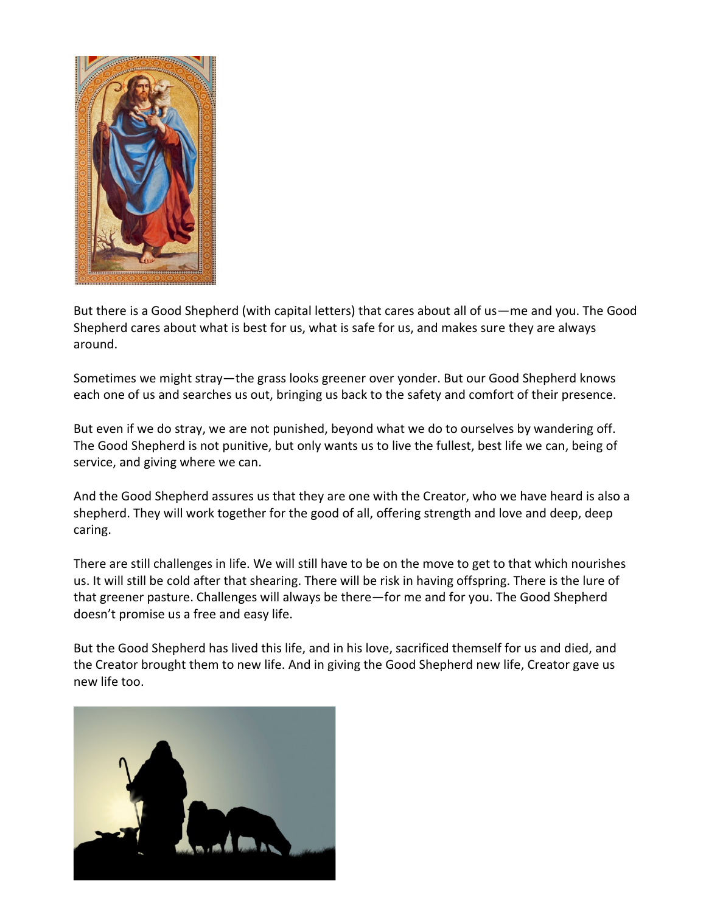

But there is a Good Shepherd (with capital letters) that cares about all of us—me and you. The Good Shepherd cares about what is best for us, what is safe for us, and makes sure they are always around.

Sometimes we might stray—the grass looks greener over yonder. But our Good Shepherd knows each one of us and searches us out, bringing us back to the safety and comfort of their presence.

But even if we do stray, we are not punished, beyond what we do to ourselves by wandering off. The Good Shepherd is not punitive, but only wants us to live the fullest, best life we can, being of service, and giving where we can.

And the Good Shepherd assures us that they are one with the Creator, who we have heard is also a shepherd. They will work together for the good of all, offering strength and love and deep, deep caring.

There are still challenges in life. We will still have to be on the move to get to that which nourishes us. It will still be cold after that shearing. There will be risk in having offspring. There is the lure of that greener pasture. Challenges will always be there—for me and for you. The Good Shepherd doesn't promise us a free and easy life.

But the Good Shepherd has lived this life, and in his love, sacrificed themself for us and died, and the Creator brought them to new life. And in giving the Good Shepherd new life, Creator gave us new life too.

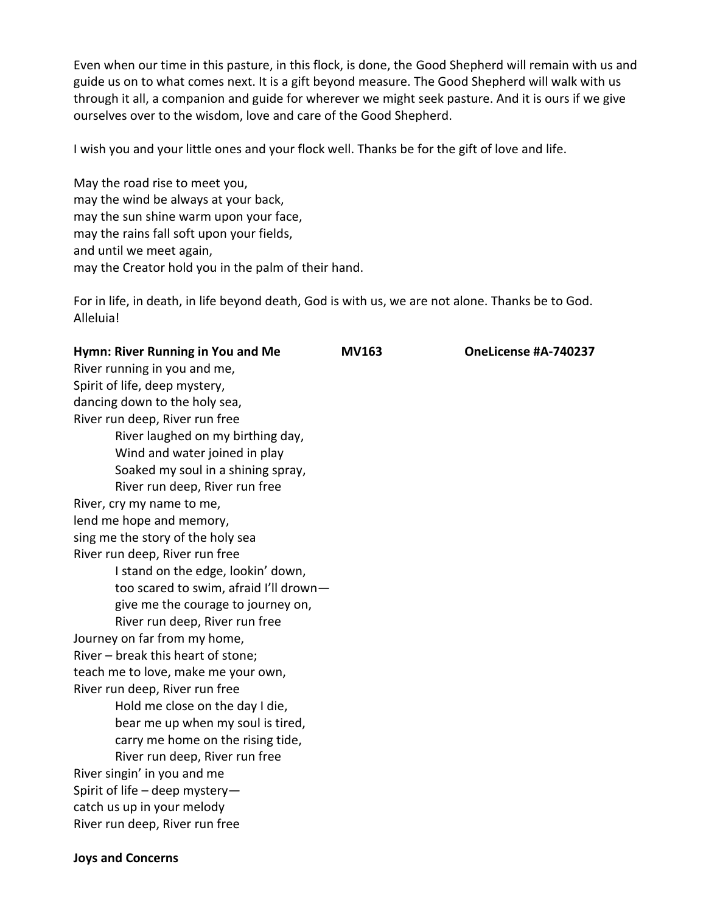Even when our time in this pasture, in this flock, is done, the Good Shepherd will remain with us and guide us on to what comes next. It is a gift beyond measure. The Good Shepherd will walk with us through it all, a companion and guide for wherever we might seek pasture. And it is ours if we give ourselves over to the wisdom, love and care of the Good Shepherd.

I wish you and your little ones and your flock well. Thanks be for the gift of love and life.

May the road rise to meet you, may the wind be always at your back, may the sun shine warm upon your face, may the rains fall soft upon your fields, and until we meet again, may the Creator hold you in the palm of their hand.

For in life, in death, in life beyond death, God is with us, we are not alone. Thanks be to God. Alleluia!

| <b>MV163</b> | OneLicense #A-740237 |
|--------------|----------------------|
|              |                      |
|              |                      |
|              |                      |
|              |                      |
|              |                      |
|              |                      |
|              |                      |
|              |                      |
|              |                      |
|              |                      |
|              |                      |
|              |                      |
|              |                      |
|              |                      |
|              |                      |
|              |                      |
|              |                      |
|              |                      |
|              |                      |
|              |                      |
|              |                      |
|              |                      |
|              |                      |
|              |                      |
|              |                      |
|              |                      |
|              |                      |
|              |                      |
|              |                      |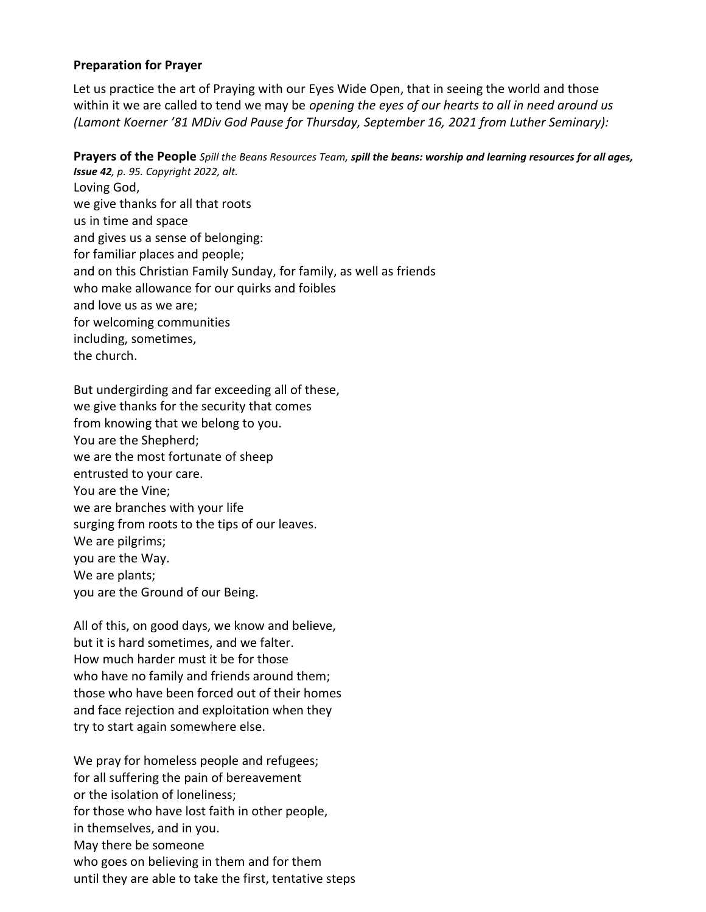#### **Preparation for Prayer**

Let us practice the art of Praying with our Eyes Wide Open, that in seeing the world and those within it we are called to tend we may be *opening the eyes of our hearts to all in need around us (Lamont Koerner '81 MDiv God Pause for Thursday, September 16, 2021 from Luther Seminary):*

#### **Prayers of the People** *Spill the Beans Resources Team, spill the beans: worship and learning resources for all ages,*

*Issue 42, p. 95. Copyright 2022, alt.* Loving God, we give thanks for all that roots us in time and space and gives us a sense of belonging: for familiar places and people; and on this Christian Family Sunday, for family, as well as friends who make allowance for our quirks and foibles and love us as we are; for welcoming communities including, sometimes, the church.

But undergirding and far exceeding all of these, we give thanks for the security that comes from knowing that we belong to you. You are the Shepherd; we are the most fortunate of sheep entrusted to your care. You are the Vine; we are branches with your life surging from roots to the tips of our leaves. We are pilgrims; you are the Way. We are plants; you are the Ground of our Being.

All of this, on good days, we know and believe, but it is hard sometimes, and we falter. How much harder must it be for those who have no family and friends around them; those who have been forced out of their homes and face rejection and exploitation when they try to start again somewhere else.

We pray for homeless people and refugees; for all suffering the pain of bereavement or the isolation of loneliness; for those who have lost faith in other people, in themselves, and in you. May there be someone who goes on believing in them and for them until they are able to take the first, tentative steps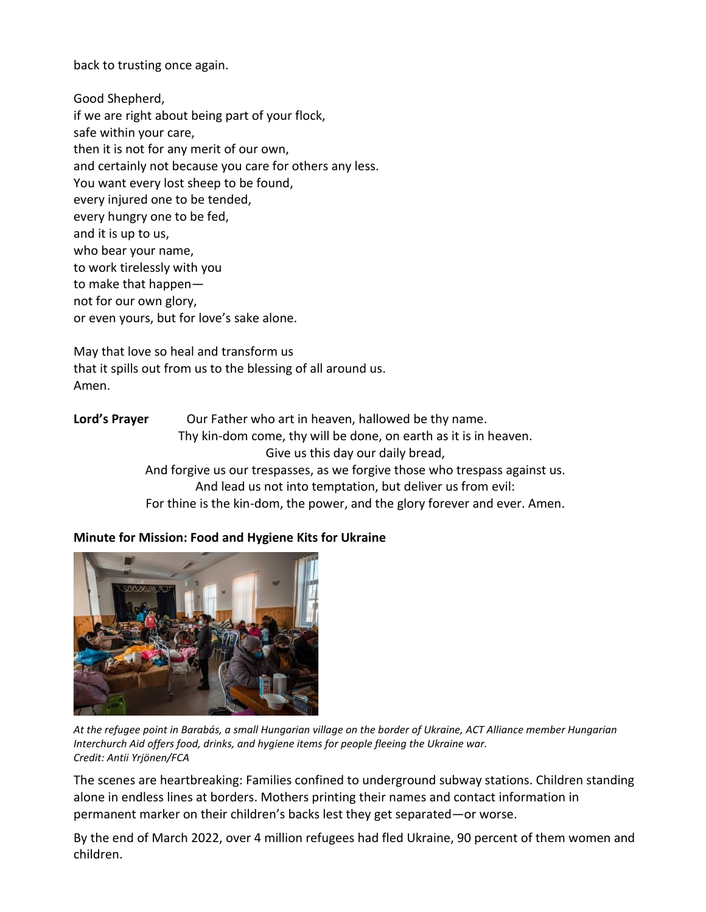back to trusting once again.

Good Shepherd, if we are right about being part of your flock, safe within your care, then it is not for any merit of our own, and certainly not because you care for others any less. You want every lost sheep to be found, every injured one to be tended, every hungry one to be fed, and it is up to us, who bear your name, to work tirelessly with you to make that happen not for our own glory, or even yours, but for love's sake alone.

May that love so heal and transform us that it spills out from us to the blessing of all around us. Amen.

Lord's Prayer **Our Father who art in heaven, hallowed be thy name.** Thy kin-dom come, thy will be done, on earth as it is in heaven. Give us this day our daily bread, And forgive us our trespasses, as we forgive those who trespass against us. And lead us not into temptation, but deliver us from evil: For thine is the kin-dom, the power, and the glory forever and ever. Amen.

# **Minute for Mission: Food and Hygiene Kits for Ukraine**



*At the refugee point in Barabás, a small Hungarian village on the border of Ukraine, ACT Alliance member Hungarian Interchurch Aid offers food, drinks, and hygiene items for people fleeing the Ukraine war. Credit: Antii Yrjönen/FCA*

The scenes are heartbreaking: Families confined to underground subway stations. Children standing alone in endless lines at borders. Mothers printing their names and contact information in permanent marker on their children's backs lest they get separated―or worse.

By the end of March 2022, over 4 million refugees had fled Ukraine, 90 percent of them women and children.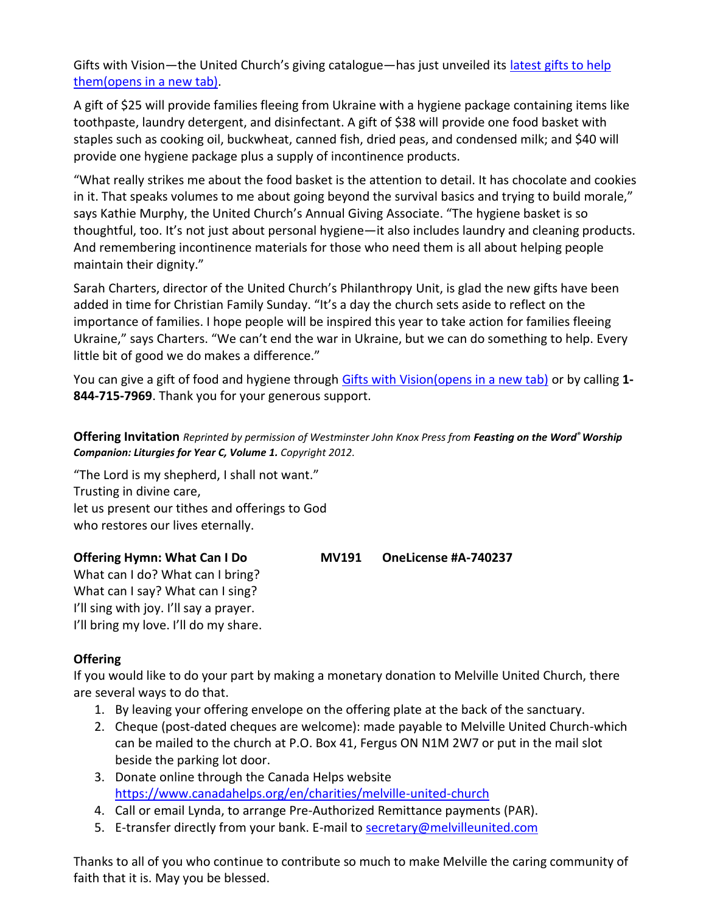Gifts with Vision―the United Church's giving catalogue―has just unveiled its [latest gifts to help](https://giftswithvision.ca/products/support-refugees-from-ukraine?_pos=1&_sid=f0a31fc75&_ss=r)  [them\(opens in a new tab\).](https://giftswithvision.ca/products/support-refugees-from-ukraine?_pos=1&_sid=f0a31fc75&_ss=r)

A gift of \$25 will provide families fleeing from Ukraine with a hygiene package containing items like toothpaste, laundry detergent, and disinfectant. A gift of \$38 will provide one food basket with staples such as cooking oil, buckwheat, canned fish, dried peas, and condensed milk; and \$40 will provide one hygiene package plus a supply of incontinence products.

"What really strikes me about the food basket is the attention to detail. It has chocolate and cookies in it. That speaks volumes to me about going beyond the survival basics and trying to build morale," says Kathie Murphy, the United Church's Annual Giving Associate. "The hygiene basket is so thoughtful, too. It's not just about personal hygiene―it also includes laundry and cleaning products. And remembering incontinence materials for those who need them is all about helping people maintain their dignity."

Sarah Charters, director of the United Church's Philanthropy Unit, is glad the new gifts have been added in time for Christian Family Sunday. "It's a day the church sets aside to reflect on the importance of families. I hope people will be inspired this year to take action for families fleeing Ukraine," says Charters. "We can't end the war in Ukraine, but we can do something to help. Every little bit of good we do makes a difference."

You can give a gift of food and hygiene through [Gifts with Vision\(opens in a new tab\)](https://giftswithvision.ca/products/support-refugees-from-ukraine?_pos=1&_sid=f0a31fc75&_ss=r) or by calling **1- 844-715-7969**. Thank you for your generous support.

## **Offering Invitation** *Reprinted by permission of Westminster John Knox Press from Feasting on the Word® Worship Companion: Liturgies for Year C, Volume 1. Copyright 2012.*

"The Lord is my shepherd, I shall not want." Trusting in divine care, let us present our tithes and offerings to God who restores our lives eternally.

## **Offering Hymn: What Can I Do MV191 OneLicense #A-740237**

What can I do? What can I bring? What can I say? What can I sing? I'll sing with joy. I'll say a prayer. I'll bring my love. I'll do my share.

# **Offering**

If you would like to do your part by making a monetary donation to Melville United Church, there are several ways to do that.

- 1. By leaving your offering envelope on the offering plate at the back of the sanctuary.
- 2. Cheque (post-dated cheques are welcome): made payable to Melville United Church-which can be mailed to the church at P.O. Box 41, Fergus ON N1M 2W7 or put in the mail slot beside the parking lot door.
- 3. Donate online through the Canada Helps website <https://www.canadahelps.org/en/charities/melville-united-church>
- 4. Call or email Lynda, to arrange Pre-Authorized Remittance payments (PAR).
- 5. E-transfer directly from your bank. E-mail to [secretary@melvilleunited.com](mailto:secretary@melvilleunited.com)

Thanks to all of you who continue to contribute so much to make Melville the caring community of faith that it is. May you be blessed.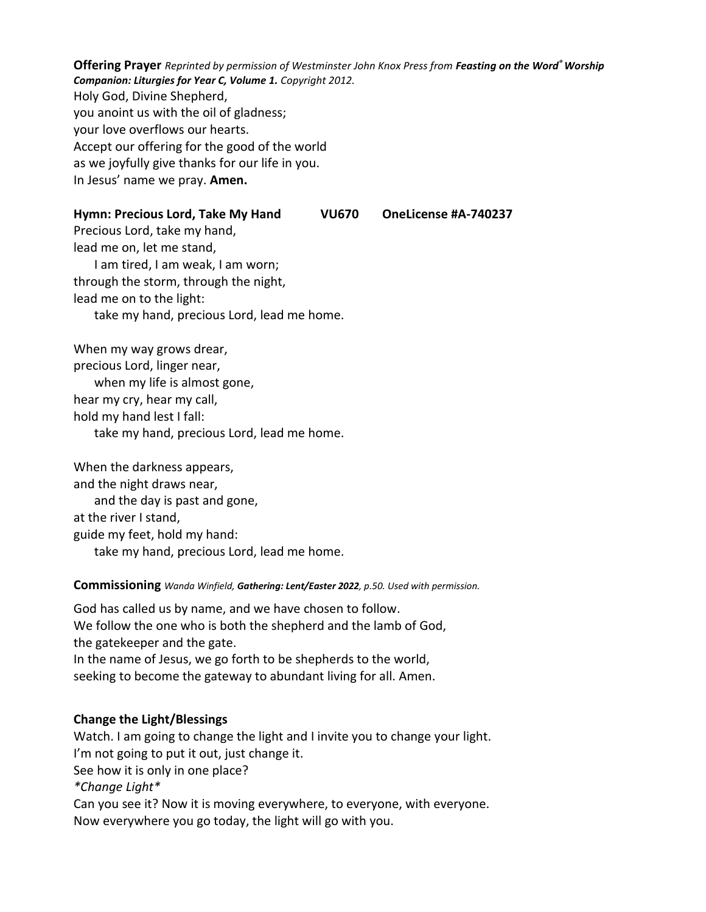**Offering Prayer** *Reprinted by permission of Westminster John Knox Press from Feasting on the Word® Worship Companion: Liturgies for Year C, Volume 1. Copyright 2012.* Holy God, Divine Shepherd, you anoint us with the oil of gladness; your love overflows our hearts. Accept our offering for the good of the world as we joyfully give thanks for our life in you. In Jesus' name we pray. **Amen.**

# **Hymn: Precious Lord, Take My Hand VU670 OneLicense #A-740237** Precious Lord, take my hand, lead me on, let me stand, I am tired, I am weak, I am worn; through the storm, through the night, lead me on to the light: take my hand, precious Lord, lead me home.

When my way grows drear, precious Lord, linger near, when my life is almost gone, hear my cry, hear my call, hold my hand lest I fall: take my hand, precious Lord, lead me home.

When the darkness appears, and the night draws near, and the day is past and gone, at the river I stand, guide my feet, hold my hand: take my hand, precious Lord, lead me home.

#### **Commissioning** *Wanda Winfield, Gathering: Lent/Easter 2022, p.50. Used with permission.*

God has called us by name, and we have chosen to follow. We follow the one who is both the shepherd and the lamb of God, the gatekeeper and the gate. In the name of Jesus, we go forth to be shepherds to the world, seeking to become the gateway to abundant living for all. Amen.

## **Change the Light/Blessings**

Watch. I am going to change the light and I invite you to change your light. I'm not going to put it out, just change it. See how it is only in one place? *\*Change Light\**  Can you see it? Now it is moving everywhere, to everyone, with everyone. Now everywhere you go today, the light will go with you.